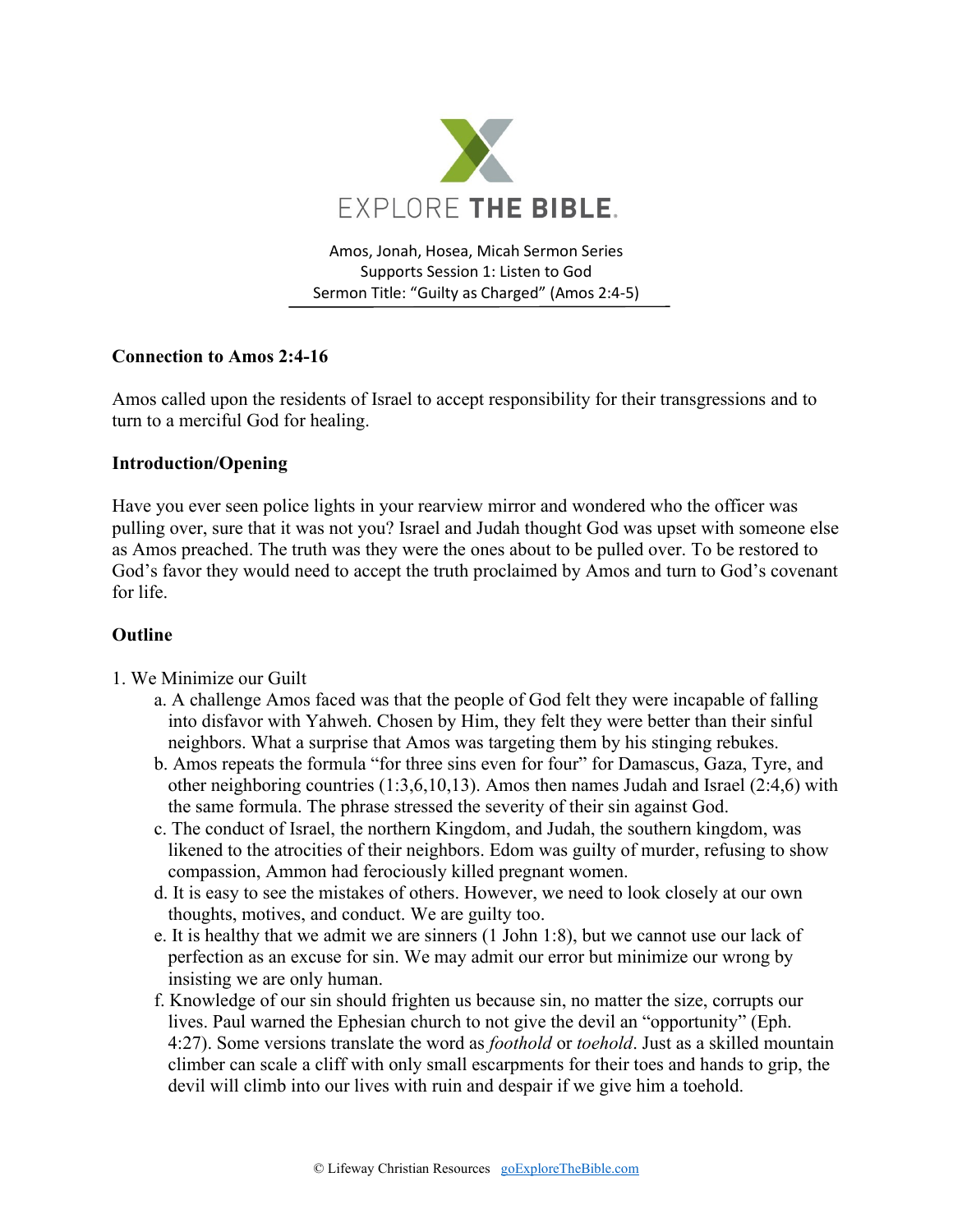

Amos, Jonah, Hosea, Micah Sermon Series Supports Session 1: Listen to God Sermon Title: "Guilty as Charged" (Amos 2:4-5)

# **Connection to Amos 2:4-16**

Amos called upon the residents of Israel to accept responsibility for their transgressions and to turn to a merciful God for healing.

## **Introduction/Opening**

Have you ever seen police lights in your rearview mirror and wondered who the officer was pulling over, sure that it was not you? Israel and Judah thought God was upset with someone else as Amos preached. The truth was they were the ones about to be pulled over. To be restored to God's favor they would need to accept the truth proclaimed by Amos and turn to God's covenant for life.

## **Outline**

- 1. We Minimize our Guilt
	- a. A challenge Amos faced was that the people of God felt they were incapable of falling into disfavor with Yahweh. Chosen by Him, they felt they were better than their sinful neighbors. What a surprise that Amos was targeting them by his stinging rebukes.
	- b. Amos repeats the formula "for three sins even for four" for Damascus, Gaza, Tyre, and other neighboring countries (1:3,6,10,13). Amos then names Judah and Israel (2:4,6) with the same formula. The phrase stressed the severity of their sin against God.
	- c. The conduct of Israel, the northern Kingdom, and Judah, the southern kingdom, was likened to the atrocities of their neighbors. Edom was guilty of murder, refusing to show compassion, Ammon had ferociously killed pregnant women.
	- d. It is easy to see the mistakes of others. However, we need to look closely at our own thoughts, motives, and conduct. We are guilty too.
	- e. It is healthy that we admit we are sinners (1 John 1:8), but we cannot use our lack of perfection as an excuse for sin. We may admit our error but minimize our wrong by insisting we are only human.
	- f. Knowledge of our sin should frighten us because sin, no matter the size, corrupts our lives. Paul warned the Ephesian church to not give the devil an "opportunity" (Eph. 4:27). Some versions translate the word as *foothold* or *toehold*. Just as a skilled mountain climber can scale a cliff with only small escarpments for their toes and hands to grip, the devil will climb into our lives with ruin and despair if we give him a toehold.